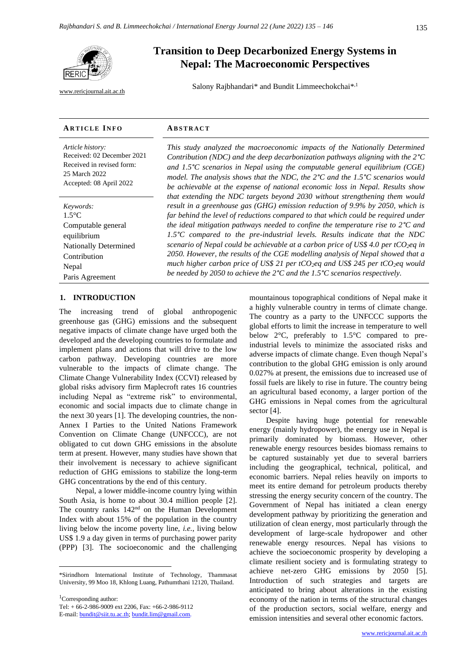[www.rericjournal.ait.ac.th](file:///C:/Reric-Data/JOURNAL/Accepted%20Paper/Users/RERIC/Vol.11%20No.2/Formatted/For%20Print/www.rericjournal.ait.ac.th)

**AR T I C L E I N F O AB S T R A C T**

# **Transition to Deep Decarbonized Energy Systems in Nepal: The Macroeconomic Perspectives**

Salony Rajbhandari\* and Bundit Limmeechokchai\*,1

| INN I I CLE INT V                                                                                                                             | 11 D D 1 IN A U 1                                                                                                                                                                                                                                                                                                                                                                                                                                                                                                                                                                                                                                                                                                                                      |  |  |
|-----------------------------------------------------------------------------------------------------------------------------------------------|--------------------------------------------------------------------------------------------------------------------------------------------------------------------------------------------------------------------------------------------------------------------------------------------------------------------------------------------------------------------------------------------------------------------------------------------------------------------------------------------------------------------------------------------------------------------------------------------------------------------------------------------------------------------------------------------------------------------------------------------------------|--|--|
| Article history:<br>Received: 02 December 2021<br>Received in revised form:<br>25 March 2022<br>Accepted: 08 April 2022                       | This study analyzed the macroeconomic impacts of the Nationally Determined<br>Contribution (NDC) and the deep decarbonization pathways aligning with the $2^{\circ}C$<br>and $1.5^{\circ}$ C scenarios in Nepal using the computable general equilibrium (CGE)<br>model. The analysis shows that the NDC, the $2^{\circ}C$ and the 1.5 $^{\circ}C$ scenarios would<br>be achievable at the expense of national economic loss in Nepal. Results show<br>that extending the NDC targets beyond 2030 without strengthening them would                                                                                                                                                                                                                     |  |  |
| Keywords:<br>$1.5^{\circ}$ C<br>Computable general<br>equilibrium<br><b>Nationally Determined</b><br>Contribution<br>Nepal<br>Paris Agreement | result in a greenhouse gas (GHG) emission reduction of 9.9% by 2050, which is<br>far behind the level of reductions compared to that which could be required under<br>the ideal mitigation pathways needed to confine the temperature rise to $2^{\circ}C$ and<br>$1.5^{\circ}$ C compared to the pre-industrial levels. Results indicate that the NDC<br>scenario of Nepal could be achievable at a carbon price of US\$ 4.0 per tCO <sub>2</sub> eq in<br>2050. However, the results of the CGE modelling analysis of Nepal showed that a<br>much higher carbon price of US\$ 21 per tCO <sub>2</sub> eq and US\$ 245 per tCO <sub>2</sub> eq would<br>be needed by 2050 to achieve the $2^{\circ}C$ and the 1.5 $^{\circ}C$ scenarios respectively. |  |  |

# 1. **INTRODUCTION**

The increasing trend of global anthropogenic greenhouse gas (GHG) emissions and the subsequent negative impacts of climate change have urged both the developed and the developing countries to formulate and implement plans and actions that will drive to the low carbon pathway. Developing countries are more vulnerable to the impacts of climate change. The Climate Change Vulnerability Index (CCVI) released by global risks advisory firm Maplecroft rates 16 countries including Nepal as "extreme risk" to environmental, economic and social impacts due to climate change in the next 30 years [\[1\]](#page-9-0). The developing countries, the non-Annex I Parties to the United Nations Framework Convention on Climate Change (UNFCCC), are not obligated to cut down GHG emissions in the absolute term at present. However, many studies have shown that their involvement is necessary to achieve significant reduction of GHG emissions to stabilize the long-term GHG concentrations by the end of this century.

Nepal, a lower middle-income country lying within South Asia, is home to about 30.4 million people [\[2\]](#page-9-1). The country ranks 142<sup>nd</sup> on the Human Development Index with about 15% of the population in the country living below the income poverty line, *i.e.*, living below US\$ 1.9 a day given in terms of purchasing power parity (PPP) [\[3\]](#page-9-2). The socioeconomic and the challenging

<sup>1</sup>Corresponding author:

Tel: + 66-2-986-9009 ext 2206, Fax: +66-2-986-9112 E-mail: [bundit@siit.tu.ac.th;](mailto:bundit@siit.tu.ac.th) [bundit.lim@gmail.com.](mailto:bundit.lim@gmail.com) 

mountainous topographical conditions of Nepal make it a highly vulnerable country in terms of climate change. The country as a party to the UNFCCC supports the global efforts to limit the increase in temperature to well below 2°C, preferably to 1.5°C compared to preindustrial levels to minimize the associated risks and adverse impacts of climate change. Even though Nepal's contribution to the global GHG emission is only around 0.027% at present, the emissions due to increased use of fossil fuels are likely to rise in future. The country being an agricultural based economy, a larger portion of the GHG emissions in Nepal comes from the agricultural sector [\[4\]](#page-9-3).

Despite having huge potential for renewable energy (mainly hydropower), the energy use in Nepal is primarily dominated by biomass. However, other renewable energy resources besides biomass remains to be captured sustainably yet due to several barriers including the geographical, technical, political, and economic barriers. Nepal relies heavily on imports to meet its entire demand for petroleum products thereby stressing the energy security concern of the country. The Government of Nepal has initiated a clean energy development pathway by prioritizing the generation and utilization of clean energy, most particularly through the development of large-scale hydropower and other renewable energy resources. Nepal has visions to achieve the socioeconomic prosperity by developing a climate resilient society and is formulating strategy to achieve net-zero GHG emissions by 2050 [\[5\]](#page-9-4). Introduction of such strategies and targets are anticipated to bring about alterations in the existing economy of the nation in terms of the structural changes of the production sectors, social welfare, energy and emission intensities and several other economic factors.

<sup>\*</sup>Sirindhorn International Institute of Technology, Thammasat University, 99 Moo 18, Khlong Luang, Pathumthani 12120, Thailand.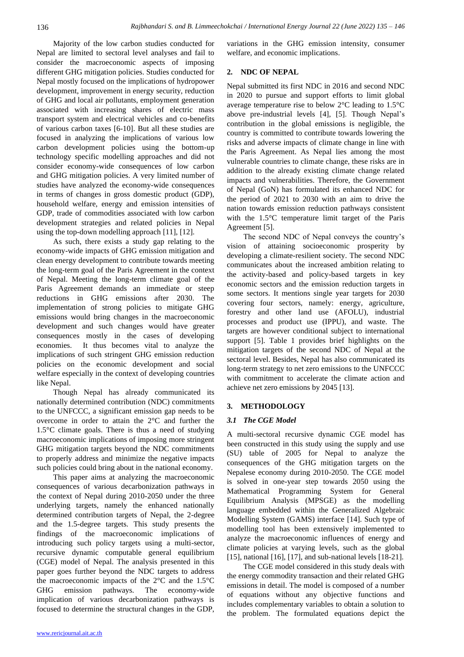Majority of the low carbon studies conducted for Nepal are limited to sectoral level analyses and fail to consider the macroeconomic aspects of imposing different GHG mitigation policies. Studies conducted for Nepal mostly focused on the implications of hydropower development, improvement in energy security, reduction of GHG and local air pollutants, employment generation associated with increasing shares of electric mass transport system and electrical vehicles and co-benefits of various carbon taxes [\[6-10\]](#page-9-5). But all these studies are focused in analyzing the implications of various low carbon development policies using the bottom-up technology specific modelling approaches and did not consider economy-wide consequences of low carbon and GHG mitigation policies. A very limited number of studies have analyzed the economy-wide consequences in terms of changes in gross domestic product (GDP), household welfare, energy and emission intensities of GDP, trade of commodities associated with low carbon development strategies and related policies in Nepal using the top-down modelling approach [\[11\]](#page-9-6), [\[12\]](#page-9-7).

As such, there exists a study gap relating to the economy-wide impacts of GHG emission mitigation and clean energy development to contribute towards meeting the long-term goal of the Paris Agreement in the context of Nepal. Meeting the long-term climate goal of the Paris Agreement demands an immediate or steep reductions in GHG emissions after 2030. The implementation of strong policies to mitigate GHG emissions would bring changes in the macroeconomic development and such changes would have greater consequences mostly in the cases of developing economies. It thus becomes vital to analyze the implications of such stringent GHG emission reduction policies on the economic development and social welfare especially in the context of developing countries like Nepal.

Though Nepal has already communicated its nationally determined contribution (NDC) commitments to the UNFCCC, a significant emission gap needs to be overcome in order to attain the 2°C and further the 1.5°C climate goals. There is thus a need of studying macroeconomic implications of imposing more stringent GHG mitigation targets beyond the NDC commitments to properly address and minimize the negative impacts such policies could bring about in the national economy.

This paper aims at analyzing the macroeconomic consequences of various decarbonization pathways in the context of Nepal during 2010-2050 under the three underlying targets, namely the enhanced nationally determined contribution targets of Nepal, the 2-degree and the 1.5-degree targets. This study presents the findings of the macroeconomic implications of introducing such policy targets using a multi-sector, recursive dynamic computable general equilibrium (CGE) model of Nepal. The analysis presented in this paper goes further beyond the NDC targets to address the macroeconomic impacts of the 2°C and the 1.5°C GHG emission pathways. The economy-wide implication of various decarbonization pathways is focused to determine the structural changes in the GDP, variations in the GHG emission intensity, consumer welfare, and economic implications.

# **2. NDC OF NEPAL**

Nepal submitted its first NDC in 2016 and second NDC in 2020 to pursue and support efforts to limit global average temperature rise to below 2°C leading to 1.5°C above pre-industrial levels [\[4\]](#page-9-3), [\[5\]](#page-9-4). Though Nepal's contribution in the global emissions is negligible, the country is committed to contribute towards lowering the risks and adverse impacts of climate change in line with the Paris Agreement. As Nepal lies among the most vulnerable countries to climate change, these risks are in addition to the already existing climate change related impacts and vulnerabilities. Therefore, the Government of Nepal (GoN) has formulated its enhanced NDC for the period of 2021 to 2030 with an aim to drive the nation towards emission reduction pathways consistent with the 1.5°C temperature limit target of the Paris Agreement [\[5\]](#page-9-4).

The second NDC of Nepal conveys the country's vision of attaining socioeconomic prosperity by developing a climate-resilient society. The second NDC communicates about the increased ambition relating to the activity-based and policy-based targets in key economic sectors and the emission reduction targets in some sectors. It mentions single year targets for 2030 covering four sectors, namely: energy, agriculture, forestry and other land use (AFOLU), industrial processes and product use (IPPU), and waste. The targets are however conditional subject to international support [\[5\]](#page-9-4). [Table 1](#page-2-0) provides brief highlights on the mitigation targets of the second NDC of Nepal at the sectoral level. Besides, Nepal has also communicated its long-term strategy to net zero emissions to the UNFCCC with commitment to accelerate the climate action and achieve net zero emissions by 2045 [\[13\]](#page-9-8).

# **3. METHODOLOGY**

# *3.1 The CGE Model*

A multi-sectoral recursive dynamic CGE model has been constructed in this study using the supply and use (SU) table of 2005 for Nepal to analyze the consequences of the GHG mitigation targets on the Nepalese economy during 2010-2050. The CGE model is solved in one-year step towards 2050 using the Mathematical Programming System for General Equilibrium Analysis (MPSGE) as the modelling language embedded within the Generalized Algebraic Modelling System (GAMS) interface [\[14\]](#page-9-9). Such type of modelling tool has been extensively implemented to analyze the macroeconomic influences of energy and climate policies at varying levels, such as the global [\[15\]](#page-9-10), national [\[16\]](#page-9-11), [\[17\]](#page-9-12), and sub-national levels [\[18-21\]](#page-10-0).

The CGE model considered in this study deals with the energy commodity transaction and their related GHG emissions in detail. The model is composed of a number of equations without any objective functions and includes complementary variables to obtain a solution to the problem. The formulated equations depict the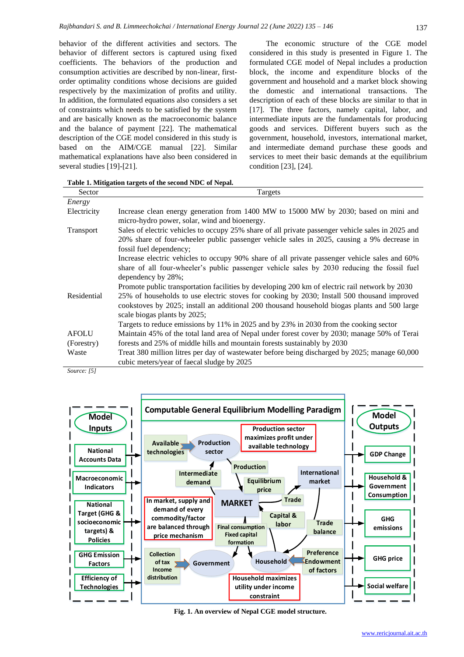behavior of the different activities and sectors. The behavior of different sectors is captured using fixed coefficients. The behaviors of the production and consumption activities are described by non-linear, firstorder optimality conditions whose decisions are guided respectively by the maximization of profits and utility. In addition, the formulated equations also considers a set of constraints which needs to be satisfied by the system and are basically known as the macroeconomic balance and the balance of payment [\[22\]](#page-10-1). The mathematical description of the CGE model considered in this study is based on the AIM/CGE manual [\[22\]](#page-10-1). Similar mathematical explanations have also been considered in several studies [\[19\]-\[21\]](#page-10-2).

The economic structure of the CGE model considered in this study is presented in Figure 1. The formulated CGE model of Nepal includes a production block, the income and expenditure blocks of the government and household and a market block showing the domestic and international transactions. The description of each of these blocks are similar to that in [\[17\]](#page-9-12). The three factors, namely capital, labor, and intermediate inputs are the fundamentals for producing goods and services. Different buyers such as the government, household, investors, international market, and intermediate demand purchase these goods and services to meet their basic demands at the equilibrium condition [\[23\]](#page-10-3), [\[24\]](#page-10-4).

| Sector       | Targets                                                                                           |
|--------------|---------------------------------------------------------------------------------------------------|
| Energy       |                                                                                                   |
| Electricity  | Increase clean energy generation from 1400 MW to 15000 MW by 2030; based on mini and              |
|              | micro-hydro power, solar, wind and bioenergy.                                                     |
| Transport    | Sales of electric vehicles to occupy 25% share of all private passenger vehicle sales in 2025 and |
|              | 20% share of four-wheeler public passenger vehicle sales in 2025, causing a 9% decrease in        |
|              | fossil fuel dependency;                                                                           |
|              | Increase electric vehicles to occupy 90% share of all private passenger vehicle sales and 60%     |
|              | share of all four-wheeler's public passenger vehicle sales by 2030 reducing the fossil fuel       |
|              | dependency by 28%;                                                                                |
|              | Promote public transportation facilities by developing 200 km of electric rail network by 2030    |
| Residential  | 25% of households to use electric stoves for cooking by 2030; Install 500 thousand improved       |
|              | cookstoves by 2025; install an additional 200 thousand household biogas plants and 500 large      |
|              | scale biogas plants by 2025;                                                                      |
|              | Targets to reduce emissions by 11% in 2025 and by 23% in 2030 from the cooking sector             |
| <b>AFOLU</b> | Maintain 45% of the total land area of Nepal under forest cover by 2030; manage 50% of Terai      |
| (Forestry)   | forests and 25% of middle hills and mountain forests sustainably by 2030                          |
| Waste        | Treat 380 million litres per day of wastewater before being discharged by 2025; manage 60,000     |
|              | cubic meters/year of faecal sludge by 2025                                                        |

<span id="page-2-0"></span>**Table 1. Mitigation targets of the second NDC of Nepal.**

*Source: [\[5\]](#page-9-4)*



**Fig. 1. An overview of Nepal CGE model structure.**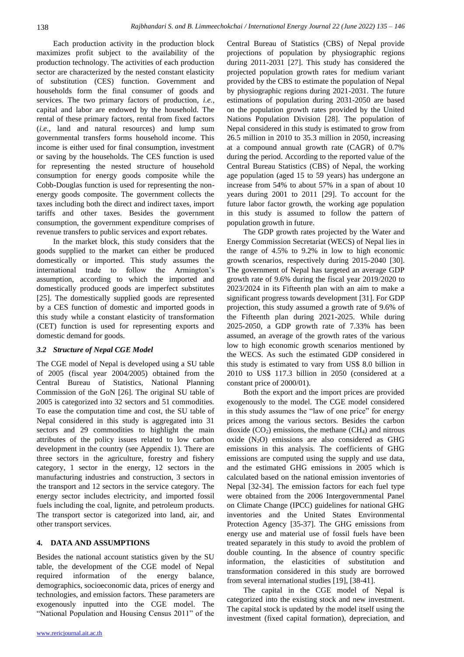Each production activity in the production block maximizes profit subject to the availability of the production technology. The activities of each production sector are characterized by the nested constant elasticity of substitution (CES) function. Government and households form the final consumer of goods and services. The two primary factors of production, *i.e.*, capital and labor are endowed by the household. The rental of these primary factors, rental from fixed factors (*i.e.*, land and natural resources) and lump sum governmental transfers forms household income. This income is either used for final consumption, investment or saving by the households. The CES function is used for representing the nested structure of household consumption for energy goods composite while the Cobb-Douglas function is used for representing the nonenergy goods composite. The government collects the taxes including both the direct and indirect taxes, import tariffs and other taxes. Besides the government consumption, the government expenditure comprises of revenue transfers to public services and export rebates.

In the market block, this study considers that the goods supplied to the market can either be produced domestically or imported. This study assumes the international trade to follow the Armington's assumption, according to which the imported and domestically produced goods are imperfect substitutes [\[25\]](#page-10-5). The domestically supplied goods are represented by a CES function of domestic and imported goods in this study while a constant elasticity of transformation (CET) function is used for representing exports and domestic demand for goods.

#### *3.2 Structure of Nepal CGE Model*

The CGE model of Nepal is developed using a SU table of 2005 (fiscal year 2004/2005) obtained from the Central Bureau of Statistics, National Planning Commission of the GoN [\[26\]](#page-10-6). The original SU table of 2005 is categorized into 32 sectors and 51 commodities. To ease the computation time and cost, the SU table of Nepal considered in this study is aggregated into 31 sectors and 29 commodities to highlight the main attributes of the policy issues related to low carbon development in the country (see Appendix 1). There are three sectors in the agriculture, forestry and fishery category, 1 sector in the energy, 12 sectors in the manufacturing industries and construction, 3 sectors in the transport and 12 sectors in the service category. The energy sector includes electricity, and imported fossil fuels including the coal, lignite, and petroleum products. The transport sector is categorized into land, air, and other transport services.

#### **4. DATA AND ASSUMPTIONS**

Besides the national account statistics given by the SU table, the development of the CGE model of Nepal required information of the energy balance, demographics, socioeconomic data, prices of energy and technologies, and emission factors. These parameters are exogenously inputted into the CGE model. The "National Population and Housing Census 2011" of the Central Bureau of Statistics (CBS) of Nepal provide projections of population by physiographic regions during 2011-2031 [\[27\]](#page-10-7). This study has considered the projected population growth rates for medium variant provided by the CBS to estimate the population of Nepal by physiographic regions during 2021-2031. The future estimations of population during 2031-2050 are based on the population growth rates provided by the United Nations Population Division [\[28\]](#page-10-8). The population of Nepal considered in this study is estimated to grow from 26.5 million in 2010 to 35.3 million in 2050, increasing at a compound annual growth rate (CAGR) of 0.7% during the period. According to the reported value of the Central Bureau Statistics (CBS) of Nepal, the working age population (aged 15 to 59 years) has undergone an increase from 54% to about 57% in a span of about 10 years during 2001 to 2011 [\[29\]](#page-10-9). To account for the future labor factor growth, the working age population in this study is assumed to follow the pattern of population growth in future.

The GDP growth rates projected by the Water and Energy Commission Secretariat (WECS) of Nepal lies in the range of 4.5% to 9.2% in low to high economic growth scenarios, respectively during 2015-2040 [\[30\]](#page-10-10). The government of Nepal has targeted an average GDP growth rate of 9.6% during the fiscal year 2019/2020 to 2023/2024 in its Fifteenth plan with an aim to make a significant progress towards development [\[31\]](#page-10-11). For GDP projection, this study assumed a growth rate of 9.6% of the Fifteenth plan during 2021-2025. While during 2025-2050, a GDP growth rate of 7.33% has been assumed, an average of the growth rates of the various low to high economic growth scenarios mentioned by the WECS. As such the estimated GDP considered in this study is estimated to vary from US\$ 8.0 billion in 2010 to US\$ 117.3 billion in 2050 (considered at a constant price of 2000/01).

Both the export and the import prices are provided exogenously to the model. The CGE model considered in this study assumes the "law of one price" for energy prices among the various sectors. Besides the carbon dioxide  $(CO<sub>2</sub>)$  emissions, the methane  $(CH<sub>4</sub>)$  and nitrous oxide  $(N_2O)$  emissions are also considered as GHG emissions in this analysis. The coefficients of GHG emissions are computed using the supply and use data, and the estimated GHG emissions in 2005 which is calculated based on the national emission inventories of Nepal [\[32-34\]](#page-10-12). The emission factors for each fuel type were obtained from the 2006 Intergovernmental Panel on Climate Change (IPCC) guidelines for national GHG inventories and the United States Environmental Protection Agency [\[35-37\]](#page-10-13). The GHG emissions from energy use and material use of fossil fuels have been treated separately in this study to avoid the problem of double counting. In the absence of country specific information, the elasticities of substitution and transformation considered in this study are borrowed from several international studies [\[19\]](#page-10-2), [\[38-41\]](#page-10-14).

The capital in the CGE model of Nepal is categorized into the existing stock and new investment. The capital stock is updated by the model itself using the investment (fixed capital formation), depreciation, and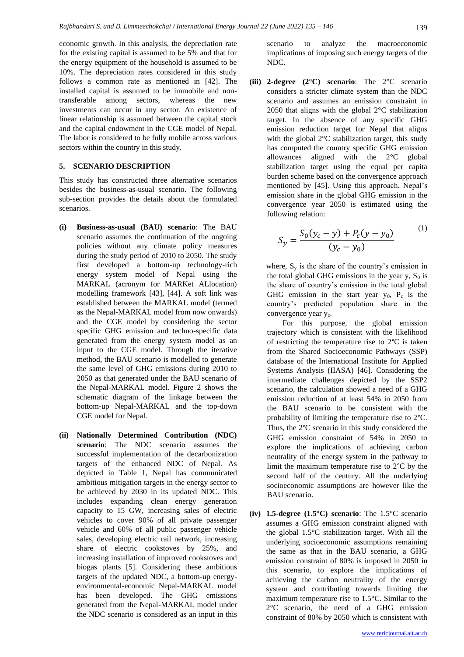economic growth. In this analysis, the depreciation rate for the existing capital is assumed to be 5% and that for the energy equipment of the household is assumed to be 10%. The depreciation rates considered in this study follows a common rate as mentioned in [\[42\]](#page-10-15). The installed capital is assumed to be immobile and nontransferable among sectors, whereas the new investments can occur in any sector. An existence of linear relationship is assumed between the capital stock and the capital endowment in the CGE model of Nepal. The labor is considered to be fully mobile across various sectors within the country in this study.

# **5. SCENARIO DESCRIPTION**

This study has constructed three alternative scenarios besides the business-as-usual scenario. The following sub-section provides the details about the formulated scenarios.

- **(i) Business-as-usual (BAU) scenario**: The BAU scenario assumes the continuation of the ongoing policies without any climate policy measures during the study period of 2010 to 2050. The study first developed a bottom-up technology-rich energy system model of Nepal using the MARKAL (acronym for MARKet ALlocation) modelling framework [\[43\]](#page-10-16), [\[44\]](#page-10-17). A soft link was established between the MARKAL model (termed as the Nepal-MARKAL model from now onwards) and the CGE model by considering the sector specific GHG emission and techno-specific data generated from the energy system model as an input to the CGE model. Through the iterative method, the BAU scenario is modelled to generate the same level of GHG emissions during 2010 to 2050 as that generated under the BAU scenario of the Nepal-MARKAL model. Figure 2 shows the schematic diagram of the linkage between the bottom-up Nepal-MARKAL and the top-down CGE model for Nepal.
- **(ii) Nationally Determined Contribution (NDC) scenario**: The NDC scenario assumes the successful implementation of the decarbonization targets of the enhanced NDC of Nepal. As depicted in [Table 1,](#page-2-0) Nepal has communicated ambitious mitigation targets in the energy sector to be achieved by 2030 in its updated NDC. This includes expanding clean energy generation capacity to 15 GW, increasing sales of electric vehicles to cover 90% of all private passenger vehicle and 60% of all public passenger vehicle sales, developing electric rail network, increasing share of electric cookstoves by 25%, and increasing installation of improved cookstoves and biogas plants [\[5\]](#page-9-4). Considering these ambitious targets of the updated NDC, a bottom-up energyenvironmental-economic Nepal-MARKAL model has been developed. The GHG emissions generated from the Nepal-MARKAL model under the NDC scenario is considered as an input in this

scenario to analyze the macroeconomic implications of imposing such energy targets of the NDC.

**(iii) 2-degree (2°C) scenario**: The 2°C scenario considers a stricter climate system than the NDC scenario and assumes an emission constraint in 2050 that aligns with the global 2°C stabilization target. In the absence of any specific GHG emission reduction target for Nepal that aligns with the global 2°C stabilization target, this study has computed the country specific GHG emission allowances aligned with the 2°C global stabilization target using the equal per capita burden scheme based on the convergence approach mentioned by [\[45\]](#page-10-18). Using this approach, Nepal's emission share in the global GHG emission in the convergence year 2050 is estimated using the following relation:

$$
S_y = \frac{S_0(y_c - y) + P_c(y - y_0)}{(y_c - y_0)}
$$
 (1)

where,  $S_y$  is the share of the country's emission in the total global GHG emissions in the year y,  $S_0$  is the share of country's emission in the total global GHG emission in the start year  $y_0$ ,  $P_c$  is the country's predicted population share in the convergence year  $y_c$ .

For this purpose, the global emission trajectory which is consistent with the likelihood of restricting the temperature rise to 2°C is taken from the Shared Socioeconomic Pathways (SSP) database of the International Institute for Applied Systems Analysis (IIASA) [46]. Considering the intermediate challenges depicted by the SSP2 scenario, the calculation showed a need of a GHG emission reduction of at least 54% in 2050 from the BAU scenario to be consistent with the probability of limiting the temperature rise to 2°C. Thus, the 2°C scenario in this study considered the GHG emission constraint of 54% in 2050 to explore the implications of achieving carbon neutrality of the energy system in the pathway to limit the maximum temperature rise to 2°C by the second half of the century. All the underlying socioeconomic assumptions are however like the BAU scenario.

**(iv) 1.5-degree (1.5°C) scenario**: The 1.5°C scenario assumes a GHG emission constraint aligned with the global 1.5°C stabilization target. With all the underlying socioeconomic assumptions remaining the same as that in the BAU scenario, a GHG emission constraint of 80% is imposed in 2050 in this scenario, to explore the implications of achieving the carbon neutrality of the energy system and contributing towards limiting the maximum temperature rise to 1.5°C. Similar to the 2°C scenario, the need of a GHG emission constraint of 80% by 2050 which is consistent with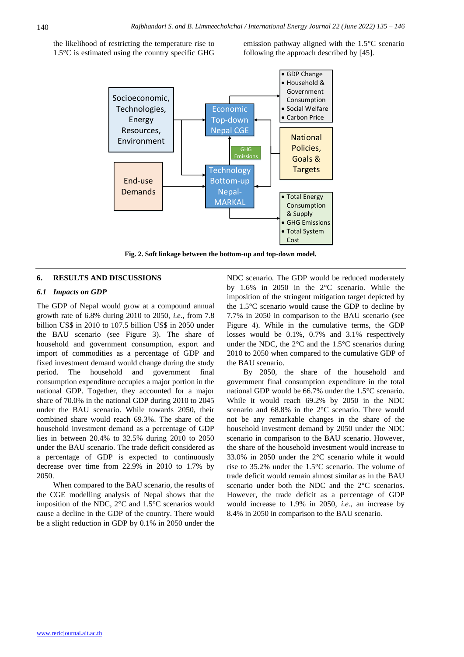the likelihood of restricting the temperature rise to 1.5°C is estimated using the country specific GHG emission pathway aligned with the 1.5°C scenario following the approach described by [\[45\]](#page-10-18).



**Fig. 2. Soft linkage between the bottom-up and top-down model.**

# **6. RESULTS AND DISCUSSIONS**

#### *6.1 Impacts on GDP*

The GDP of Nepal would grow at a compound annual growth rate of 6.8% during 2010 to 2050, *i.e.*, from 7.8 billion US\$ in 2010 to 107.5 billion US\$ in 2050 under the BAU scenario (see Figure 3). The share of household and government consumption, export and import of commodities as a percentage of GDP and fixed investment demand would change during the study period. The household and government final consumption expenditure occupies a major portion in the national GDP. Together, they accounted for a major share of 70.0% in the national GDP during 2010 to 2045 under the BAU scenario. While towards 2050, their combined share would reach 69.3%. The share of the household investment demand as a percentage of GDP lies in between 20.4% to 32.5% during 2010 to 2050 under the BAU scenario. The trade deficit considered as a percentage of GDP is expected to continuously decrease over time from 22.9% in 2010 to 1.7% by 2050.

When compared to the BAU scenario, the results of the CGE modelling analysis of Nepal shows that the imposition of the NDC, 2°C and 1.5°C scenarios would cause a decline in the GDP of the country. There would be a slight reduction in GDP by 0.1% in 2050 under the

NDC scenario. The GDP would be reduced moderately by 1.6% in 2050 in the 2°C scenario. While the imposition of the stringent mitigation target depicted by the 1.5°C scenario would cause the GDP to decline by 7.7% in 2050 in comparison to the BAU scenario (see Figure 4). While in the cumulative terms, the GDP losses would be 0.1%, 0.7% and 3.1% respectively under the NDC, the 2°C and the 1.5°C scenarios during 2010 to 2050 when compared to the cumulative GDP of the BAU scenario.

By 2050, the share of the household and government final consumption expenditure in the total national GDP would be 66.7% under the 1.5°C scenario. While it would reach 69.2% by 2050 in the NDC scenario and 68.8% in the 2°C scenario. There would not be any remarkable changes in the share of the household investment demand by 2050 under the NDC scenario in comparison to the BAU scenario. However, the share of the household investment would increase to 33.0% in 2050 under the 2°C scenario while it would rise to 35.2% under the 1.5°C scenario. The volume of trade deficit would remain almost similar as in the BAU scenario under both the NDC and the 2°C scenarios. However, the trade deficit as a percentage of GDP would increase to 1.9% in 2050, *i.e.*, an increase by 8.4% in 2050 in comparison to the BAU scenario.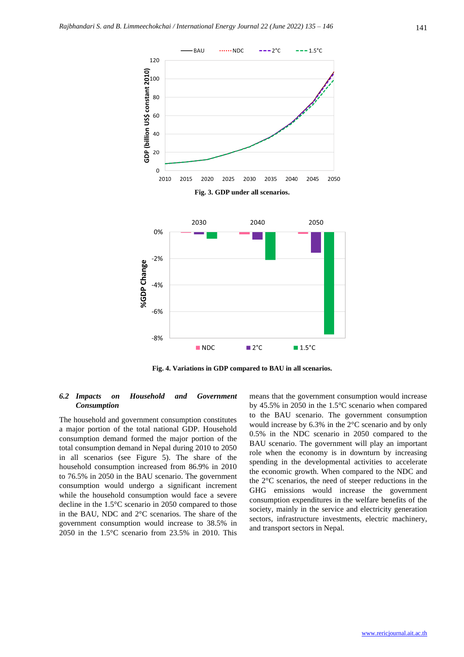

**Fig. 4. Variations in GDP compared to BAU in all scenarios.**

# *6.2 Impacts on Household and Government Consumption*

The household and government consumption constitutes a major portion of the total national GDP. Household consumption demand formed the major portion of the total consumption demand in Nepal during 2010 to 2050 in all scenarios (see Figure 5). The share of the household consumption increased from 86.9% in 2010 to 76.5% in 2050 in the BAU scenario. The government consumption would undergo a significant increment while the household consumption would face a severe decline in the 1.5°C scenario in 2050 compared to those in the BAU, NDC and 2°C scenarios. The share of the government consumption would increase to 38.5% in 2050 in the 1.5°C scenario from 23.5% in 2010. This means that the government consumption would increase by 45.5% in 2050 in the 1.5°C scenario when compared to the BAU scenario. The government consumption would increase by 6.3% in the 2°C scenario and by only 0.5% in the NDC scenario in 2050 compared to the BAU scenario. The government will play an important role when the economy is in downturn by increasing spending in the developmental activities to accelerate the economic growth. When compared to the NDC and the 2°C scenarios, the need of steeper reductions in the GHG emissions would increase the government consumption expenditures in the welfare benefits of the society, mainly in the service and electricity generation sectors, infrastructure investments, electric machinery, and transport sectors in Nepal.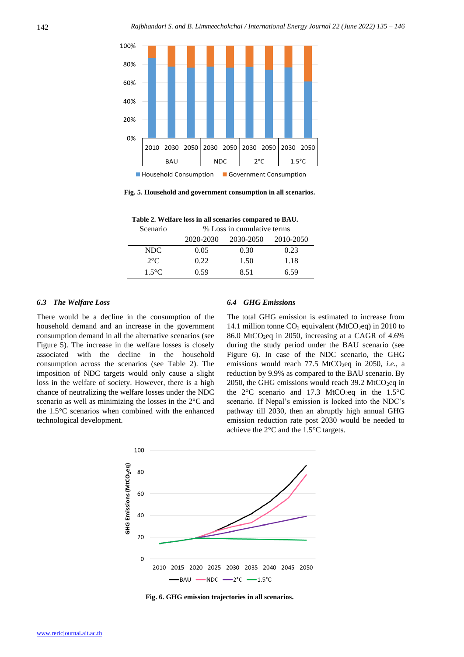

**Fig. 5. Household and government consumption in all scenarios.**

| Table 2. Welfare loss in all scenarios compared to BAU. |                            |           |           |  |  |
|---------------------------------------------------------|----------------------------|-----------|-----------|--|--|
| Scenario                                                | % Loss in cumulative terms |           |           |  |  |
|                                                         | 2020-2030                  | 2030-2050 | 2010-2050 |  |  |
| NDC.                                                    | 0.05                       | 0.30      | 0.23      |  |  |
| $2^{\circ}C$                                            | 0.22                       | 1.50      | 1.18      |  |  |
| 1.5 $\mathrm{C}$                                        | 0.59                       | 8.51      | 6.59      |  |  |

#### *6.3 The Welfare Loss*

There would be a decline in the consumption of the household demand and an increase in the government consumption demand in all the alternative scenarios (see Figure 5). The increase in the welfare losses is closely associated with the decline in the household consumption across the scenarios (see Table 2). The imposition of NDC targets would only cause a slight loss in the welfare of society. However, there is a high chance of neutralizing the welfare losses under the NDC scenario as well as minimizing the losses in the 2°C and the 1.5°C scenarios when combined with the enhanced technological development.

# *6.4 GHG Emissions*

The total GHG emission is estimated to increase from 14.1 million tonne  $CO<sub>2</sub>$  equivalent (MtCO<sub>2</sub>eq) in 2010 to 86.0 MtCO<sub>2</sub>eq in 2050, increasing at a CAGR of 4.6% during the study period under the BAU scenario (see Figure 6). In case of the NDC scenario, the GHG emissions would reach 77.5 MtCO<sub>2</sub>eq in 2050, *i.e.*, a reduction by 9.9% as compared to the BAU scenario. By 2050, the GHG emissions would reach  $39.2 \text{ MtCO}_2$ eq in the  $2^{\circ}$ C scenario and 17.3 MtCO<sub>2</sub>eq in the 1.5°C scenario. If Nepal's emission is locked into the NDC's pathway till 2030, then an abruptly high annual GHG emission reduction rate post 2030 would be needed to achieve the 2°C and the 1.5°C targets.



**Fig. 6. GHG emission trajectories in all scenarios.**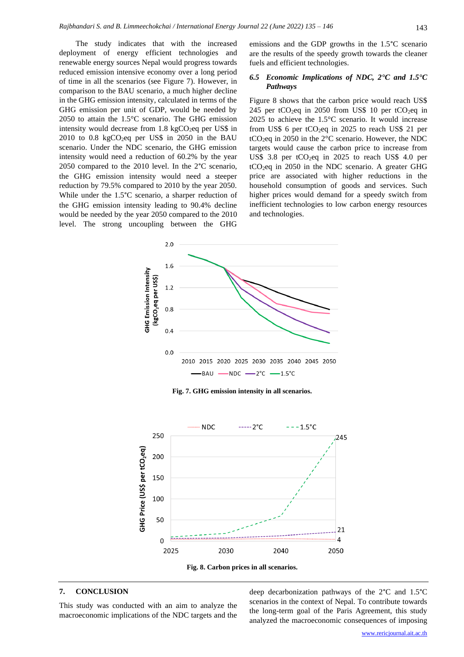The study indicates that with the increased deployment of energy efficient technologies and renewable energy sources Nepal would progress towards reduced emission intensive economy over a long period of time in all the scenarios (see Figure 7). However, in comparison to the BAU scenario, a much higher decline in the GHG emission intensity, calculated in terms of the GHG emission per unit of GDP, would be needed by 2050 to attain the 1.5°C scenario. The GHG emission intensity would decrease from  $1.8 \text{ kgCO}_2$ eq per US\$ in  $2010$  to 0.8 kgCO<sub>2</sub>eq per US\$ in 2050 in the BAU scenario. Under the NDC scenario, the GHG emission intensity would need a reduction of 60.2% by the year 2050 compared to the 2010 level. In the 2°C scenario, the GHG emission intensity would need a steeper reduction by 79.5% compared to 2010 by the year 2050. While under the 1.5°C scenario, a sharper reduction of the GHG emission intensity leading to 90.4% decline would be needed by the year 2050 compared to the 2010 level. The strong uncoupling between the GHG

emissions and the GDP growths in the 1.5°C scenario are the results of the speedy growth towards the cleaner fuels and efficient technologies.

# *6.5 Economic Implications of NDC, 2°C and 1.5°C Pathways*

Figure 8 shows that the carbon price would reach US\$ 245 per tCO<sub>2</sub>eq in 2050 from US\$ 10 per tCO<sub>2</sub>eq in 2025 to achieve the  $1.5^{\circ}$ C scenario. It would increase from US\$ 6 per  $tCO_2$ eq in 2025 to reach US\$ 21 per tCO2eq in 2050 in the 2°C scenario. However, the NDC targets would cause the carbon price to increase from US\$ 3.8 per  $tCO_2$ eq in 2025 to reach US\$ 4.0 per  $tCO_2$ eq in 2050 in the NDC scenario. A greater GHG price are associated with higher reductions in the household consumption of goods and services. Such higher prices would demand for a speedy switch from inefficient technologies to low carbon energy resources and technologies.



**Fig. 7. GHG emission intensity in all scenarios.**





# **7. CONCLUSION**

This study was conducted with an aim to analyze the macroeconomic implications of the NDC targets and the

deep decarbonization pathways of the 2°C and 1.5°C scenarios in the context of Nepal. To contribute towards the long-term goal of the Paris Agreement, this study analyzed the macroeconomic consequences of imposing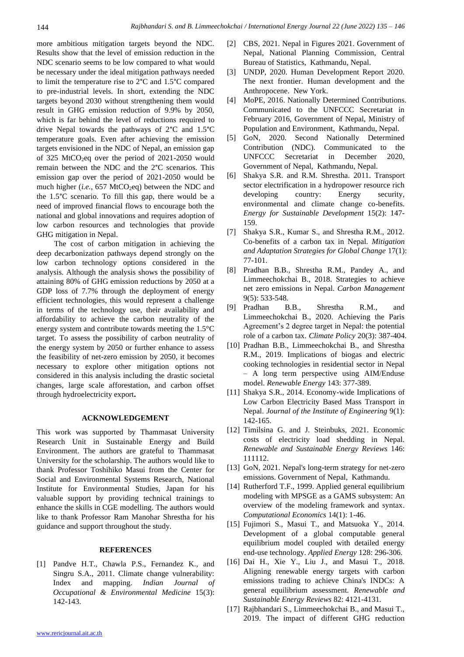more ambitious mitigation targets beyond the NDC. Results show that the level of emission reduction in the

NDC scenario seems to be low compared to what would be necessary under the ideal mitigation pathways needed to limit the temperature rise to 2°C and 1.5°C compared to pre-industrial levels. In short, extending the NDC targets beyond 2030 without strengthening them would result in GHG emission reduction of 9.9% by 2050, which is far behind the level of reductions required to drive Nepal towards the pathways of 2°C and 1.5°C temperature goals. Even after achieving the emission targets envisioned in the NDC of Nepal, an emission gap of 325 MtCO2eq over the period of 2021-2050 would remain between the NDC and the 2°C scenarios. This emission gap over the period of 2021-2050 would be much higher (*i.e.*, 657 MtCO<sub>2</sub>eq) between the NDC and the 1.5°C scenario. To fill this gap, there would be a need of improved financial flows to encourage both the national and global innovations and requires adoption of low carbon resources and technologies that provide GHG mitigation in Nepal.

The cost of carbon mitigation in achieving the deep decarbonization pathways depend strongly on the low carbon technology options considered in the analysis. Although the analysis shows the possibility of attaining 80% of GHG emission reductions by 2050 at a GDP loss of 7.7% through the deployment of energy efficient technologies, this would represent a challenge in terms of the technology use, their availability and affordability to achieve the carbon neutrality of the energy system and contribute towards meeting the 1.5°C target. To assess the possibility of carbon neutrality of the energy system by 2050 or further enhance to assess the feasibility of net-zero emission by 2050, it becomes necessary to explore other mitigation options not considered in this analysis including the drastic societal changes, large scale afforestation, and carbon offset through hydroelectricity export**.**

#### **ACKNOWLEDGEMENT**

This work was supported by Thammasat University Research Unit in Sustainable Energy and Build Environment. The authors are grateful to Thammasat University for the scholarship. The authors would like to thank Professor Toshihiko Masui from the Center for Social and Environmental Systems Research, National Institute for Environmental Studies, Japan for his valuable support by providing technical trainings to enhance the skills in CGE modelling. The authors would like to thank Professor Ram Manohar Shrestha for his guidance and support throughout the study.

# <span id="page-9-1"></span>**REFERENCES**

<span id="page-9-0"></span>[1] Pandve H.T., Chawla P.S., Fernandez K., and Singru S.A., 2011. Climate change vulnerability: Index and mapping. *Indian Journal of Occupational & Environmental Medicine* 15(3): 142-143.

- [2] CBS, 2021. Nepal in Figures 2021. Government of Nepal, National Planning Commission, Central Bureau of Statistics, Kathmandu, Nepal.
- <span id="page-9-2"></span>[3] UNDP, 2020. Human Development Report 2020. The next frontier. Human development and the Anthropocene. New York.
- <span id="page-9-3"></span>[4] MoPE, 2016. Nationally Determined Contributions. Communicated to the UNFCCC Secretariat in February 2016, Government of Nepal, Ministry of Population and Environment, Kathmandu, Nepal.
- <span id="page-9-4"></span>[5] GoN, 2020. Second Nationally Determined Contribution (NDC). Communicated to the UNFCCC Secretariat in December 2020, Government of Nepal, Kathmandu, Nepal.
- <span id="page-9-5"></span>[6] Shakya S.R. and R.M. Shrestha. 2011. Transport sector electrification in a hydropower resource rich developing country: Energy security, environmental and climate change co-benefits. *Energy for Sustainable Development* 15(2): 147- 159.
- [7] Shakya S.R., Kumar S., and Shrestha R.M., 2012. Co-benefits of a carbon tax in Nepal. *Mitigation and Adaptation Strategies for Global Change* 17(1): 77-101.
- [8] Pradhan B.B., Shrestha R.M., Pandey A., and Limmeechokchai B., 2018. Strategies to achieve net zero emissions in Nepal. *Carbon Management* 9(5): 533-548.
- [9] Pradhan B.B., Shrestha R.M., and Limmeechokchai B., 2020. Achieving the Paris Agreement's 2 degree target in Nepal: the potential role of a carbon tax. *Climate Policy* 20(3): 387-404.
- [10] Pradhan B.B., Limmeechokchai B., and Shrestha R.M., 2019. Implications of biogas and electric cooking technologies in residential sector in Nepal – A long term perspective using AIM/Enduse model. *Renewable Energy* 143: 377-389.
- <span id="page-9-6"></span>[11] Shakya S.R., 2014. Economy-wide Implications of Low Carbon Electricity Based Mass Transport in Nepal. *Journal of the Institute of Engineering* 9(1): 142-165.
- <span id="page-9-7"></span>[12] Timilsina G. and J. Steinbuks, 2021. Economic costs of electricity load shedding in Nepal. *Renewable and Sustainable Energy Reviews* 146: 111112.
- <span id="page-9-9"></span><span id="page-9-8"></span>[13] GoN, 2021. Nepal's long-term strategy for net-zero emissions. Government of Nepal, Kathmandu.
- [14] Rutherford T.F., 1999. Applied general equilibrium modeling with MPSGE as a GAMS subsystem: An overview of the modeling framework and syntax. *Computational Economics* 14(1): 1-46.
- <span id="page-9-10"></span>[15] Fujimori S., Masui T., and Matsuoka Y., 2014. Development of a global computable general equilibrium model coupled with detailed energy end-use technology. *Applied Energy* 128: 296-306.
- <span id="page-9-11"></span>[16] Dai H., Xie Y., Liu J., and Masui T., 2018. Aligning renewable energy targets with carbon emissions trading to achieve China's INDCs: A general equilibrium assessment. *Renewable and Sustainable Energy Reviews* 82: 4121-4131.
- <span id="page-9-12"></span>[17] Rajbhandari S., Limmeechokchai B., and Masui T., 2019. The impact of different GHG reduction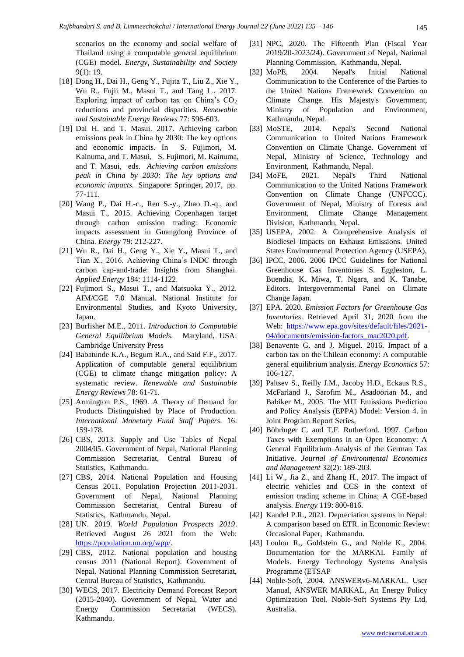<span id="page-10-0"></span>scenarios on the economy and social welfare of Thailand using a computable general equilibrium (CGE) model. *Energy, Sustainability and Society* 9(1): 19.

- [18] Dong H., Dai H., Geng Y., Fujita T., Liu Z., Xie Y., Wu R., Fujii M., Masui T., and Tang L., 2017. Exploring impact of carbon tax on China's  $CO<sub>2</sub>$ reductions and provincial disparities. *Renewable and Sustainable Energy Reviews* 77: 596-603.
- [19] Dai H. and T. Masui. 2017. Achieving carbon emissions peak in China by 2030: The key options and economic impacts. In S. Fujimori, M. Kainuma, and T. Masui, S. Fujimori, M. Kainuma, and T. Masui, eds. *Achieving carbon emissions peak in China by 2030: The key options and economic impacts.* Singapore: Springer, 2017, pp. 77-111.
- [20] Wang P., Dai H.-c., Ren S.-y., Zhao D.-q., and Masui T., 2015. Achieving Copenhagen target through carbon emission trading: Economic impacts assessment in Guangdong Province of China. *Energy* 79: 212-227.
- [21] Wu R., Dai H., Geng Y., Xie Y., Masui T., and Tian X., 2016. Achieving China's INDC through carbon cap-and-trade: Insights from Shanghai. *Applied Energy* 184: 1114-1122.
- [22] Fujimori S., Masui T., and Matsuoka Y., 2012. AIM/CGE 7.0 Manual. National Institute for Environmental Studies, and Kyoto University, Japan.
- <span id="page-10-3"></span>[23] Burfisher M.E., 2011. *Introduction to Computable General Equilibrium Models.* Maryland, USA: Cambridge University Press
- [24] Babatunde K.A., Begum R.A., and Said F.F., 2017. Application of computable general equilibrium (CGE) to climate change mitigation policy: A systematic review. *Renewable and Sustainable Energy Reviews* 78: 61-71.
- [25] Armington P.S., 1969. A Theory of Demand for Products Distinguished by Place of Production. *International Monetary Fund Staff Papers*. 16: 159-178.
- <span id="page-10-6"></span>[26] CBS, 2013. Supply and Use Tables of Nepal 2004/05. Government of Nepal, National Planning Commission Secretariat, Central Bureau of Statistics, Kathmandu.
- <span id="page-10-7"></span>[27] CBS, 2014. National Population and Housing Census 2011. Population Projection 2011-2031. Government of Nepal, National Planning Commission Secretariat, Central Bureau of Statistics, Kathmandu, Nepal.
- [28] UN. 2019. *World Population Prospects 2019*. Retrieved August 26 2021 from the Web: [https://population.un.org/wpp/.](https://population.un.org/wpp/)
- [29] CBS, 2012. National population and housing census 2011 (National Report). Government of Nepal, National Planning Commission Secretariat, Central Bureau of Statistics, Kathmandu.
- <span id="page-10-11"></span>[30] WECS, 2017. Electricity Demand Forecast Report (2015-2040). Government of Nepal, Water and Energy Commission Secretariat (WECS), Kathmandu.
- [31] NPC, 2020. The Fifteenth Plan (Fiscal Year 2019/20-2023/24). Government of Nepal, National Planning Commission, Kathmandu, Nepal.
- <span id="page-10-12"></span>[32] MoPE, 2004. Nepal's Initial National Communication to the Conference of the Parties to the United Nations Framework Convention on Climate Change. His Majesty's Government, Ministry of Population and Environment, Kathmandu, Nepal.
- <span id="page-10-2"></span>[33] MoSTE, 2014. Nepal's Second National Communication to United Nations Framework Convention on Climate Change. Government of Nepal, Ministry of Science, Technology and Environment, Kathmandu, Nepal.
- [34] MoFE, 2021. Nepal's Third National Communication to the United Nations Framework Convention on Climate Change (UNFCCC). Government of Nepal, Ministry of Forests and Environment, Climate Change Management Division, Kathmandu, Nepal.
- <span id="page-10-13"></span>[35] USEPA, 2002. A Comprehensive Analysis of Biodiesel Impacts on Exhaust Emissions. United States Environmental Protection Agency (USEPA),
- <span id="page-10-1"></span>[36] IPCC, 2006. 2006 IPCC Guidelines for National Greenhouse Gas Inventories S. Eggleston, L. Buendia, K. Miwa, T. Ngara, and K. Tanabe, Editors. Intergovernmental Panel on Climate Change Japan.
- [37] EPA. 2020. *Emission Factors for Greenhouse Gas Inventories*. Retrieved April 31, 2020 from the Web: [https://www.epa.gov/sites/default/files/2021-](https://www.epa.gov/sites/default/files/2021-04/documents/emission-factors_mar2020.pdf) [04/documents/emission-factors\\_mar2020.pdf.](https://www.epa.gov/sites/default/files/2021-04/documents/emission-factors_mar2020.pdf)
- <span id="page-10-14"></span><span id="page-10-4"></span>[38] Benavente G. and J. Miguel. 2016. Impact of a carbon tax on the Chilean economy: A computable general equilibrium analysis. *Energy Economics* 57: 106-127.
- <span id="page-10-5"></span>[39] Paltsev S., Reilly J.M., Jacoby H.D., Eckaus R.S., McFarland J., Sarofim M., Asadoorian M., and Babiker M., 2005. The MIT Emissions Prediction and Policy Analysis (EPPA) Model: Version 4. in Joint Program Report Series,
- [40] Böhringer C. and T.F. Rutherford. 1997. Carbon Taxes with Exemptions in an Open Economy: A General Equilibrium Analysis of the German Tax Initiative. *Journal of Environmental Economics and Management* 32(2): 189-203.
- [41] Li W., Jia Z., and Zhang H., 2017. The impact of electric vehicles and CCS in the context of emission trading scheme in China: A CGE-based analysis. *Energy* 119: 800-816.
- <span id="page-10-15"></span><span id="page-10-8"></span>[42] Kandel P.R., 2021. Depreciation systems in Nepal: A comparison based on ETR. in Economic Review: Occasional Paper, Kathmandu.
- <span id="page-10-16"></span><span id="page-10-9"></span>[43] Loulou R., Goldstein G., and Noble K., 2004. Documentation for the MARKAL Family of Models. Energy Technology Systems Analysis Programme (ETSAP
- <span id="page-10-18"></span><span id="page-10-17"></span><span id="page-10-10"></span>[44] Noble-Soft, 2004. ANSWERv6-MARKAL, User Manual, ANSWER MARKAL, An Energy Policy Optimization Tool. Noble-Soft Systems Pty Ltd, Australia.